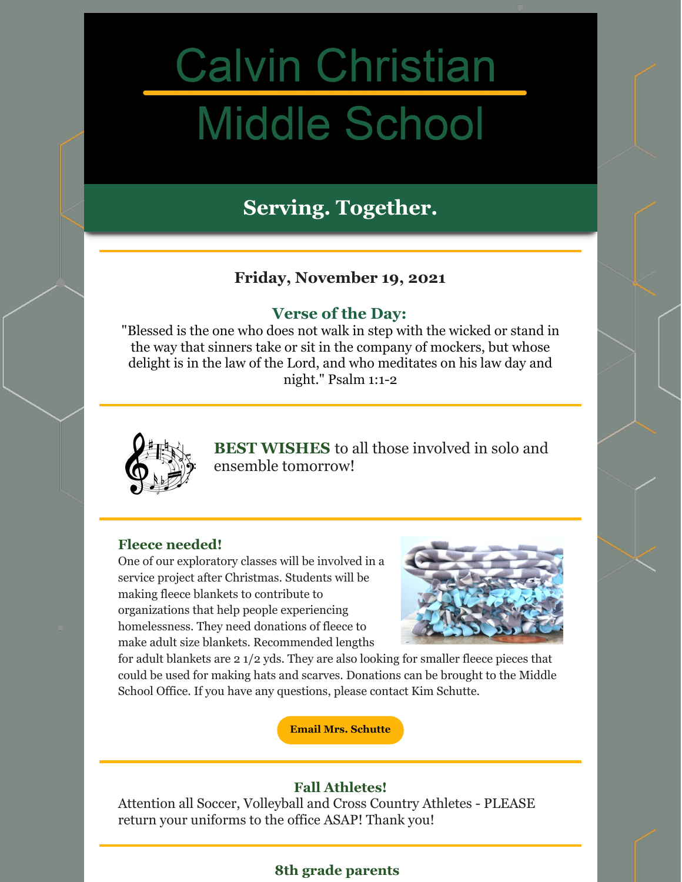# **Calvin Christian Middle School**

# **Serving. Together.**

# **Friday, November 19, 2021**

## **Verse of the Day:**

"Blessed is the one who does not walk in step with the wicked or stand in the way that sinners take or sit in the company of mockers, but whose delight is in the law of the Lord, and who meditates on his law day and night." [Psalm](https://www.biblegateway.com/passage/?search=Psalm 1:1-2&version=NIV) 1:1-2



**BEST WISHES** to all those involved in solo and ensemble tomorrow!

#### **Fleece needed!**

One of our exploratory classes will be involved in a service project after Christmas. Students will be making fleece blankets to contribute to organizations that help people experiencing homelessness. They need donations of fleece to make adult size blankets. Recommended lengths



for adult blankets are 2 1/2 yds. They are also looking for smaller fleece pieces that could be used for making hats and scarves. Donations can be brought to the Middle School Office. If you have any questions, please contact Kim Schutte.

**Email Mrs. [Schutte](mailto:kschutte@gccsmi.org)**

#### **Fall Athletes!**

Attention all Soccer, Volleyball and Cross Country Athletes - PLEASE return your uniforms to the office ASAP! Thank you!

### **8th grade parents**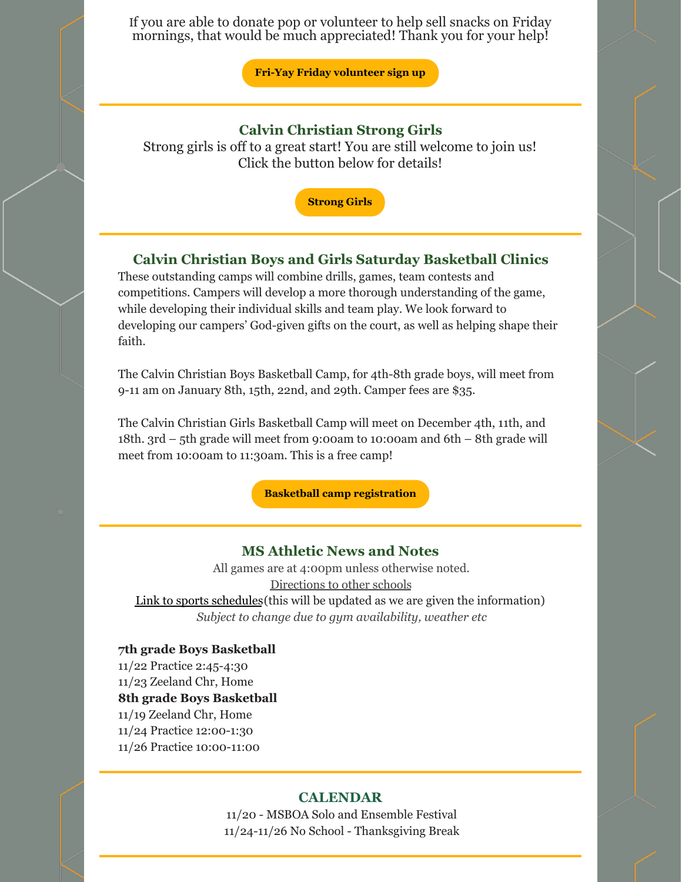If you are able to donate pop or volunteer to help sell snacks on Friday mornings, that would be much appreciated! Thank you for your help!

**Fri-Yay Friday [volunteer](https://www.signupgenius.com/go/30e0d4ea4a823a0f49-friyay) sign up**

#### **Calvin Christian Strong Girls**

Strong girls is off to a great start! You are still welcome to join us! Click the button below for details!

**[Strong](https://files.constantcontact.com/9f9c2db7501/431e90a3-273b-4d5f-a7d4-b1827330693f.pdf) Girls**

#### **Calvin Christian Boys and Girls Saturday Basketball Clinics**

These outstanding camps will combine drills, games, team contests and competitions. Campers will develop a more thorough understanding of the game, while developing their individual skills and team play. We look forward to developing our campers' God-given gifts on the court, as well as helping shape their faith.

The Calvin Christian Boys Basketball Camp, for 4th-8th grade boys, will meet from 9-11 am on January 8th, 15th, 22nd, and 29th. Camper fees are \$35.

The Calvin Christian Girls Basketball Camp will meet on December 4th, 11th, and 18th. 3rd – 5th grade will meet from 9:00am to 10:00am and 6th – 8th grade will meet from 10:00am to 11:30am. This is a free camp!

**Basketball camp [registration](https://www.gosquires.org/camps-events/)**

#### **MS Athletic News and Notes**

All games are at 4:00pm unless otherwise noted. [Directions](https://www.gosquires.org/sports/middle-school-sports/locations/) to other schools Link to sports [schedules](https://www.gosquires.org/sports/middle-school-sports/schedule/)(this will be updated as we are given the information) *Subject to change due to gym availability, weather etc*

**7th grade Boys Basketball**

11/22 Practice 2:45-4:30

11/23 Zeeland Chr, Home

**8th grade Boys Basketball**

11/19 Zeeland Chr, Home

11/24 Practice 12:00-1:30

11/26 Practice 10:00-11:00

#### **CALENDAR**

11/20 - MSBOA Solo and Ensemble Festival 11/24-11/26 No School - Thanksgiving Break